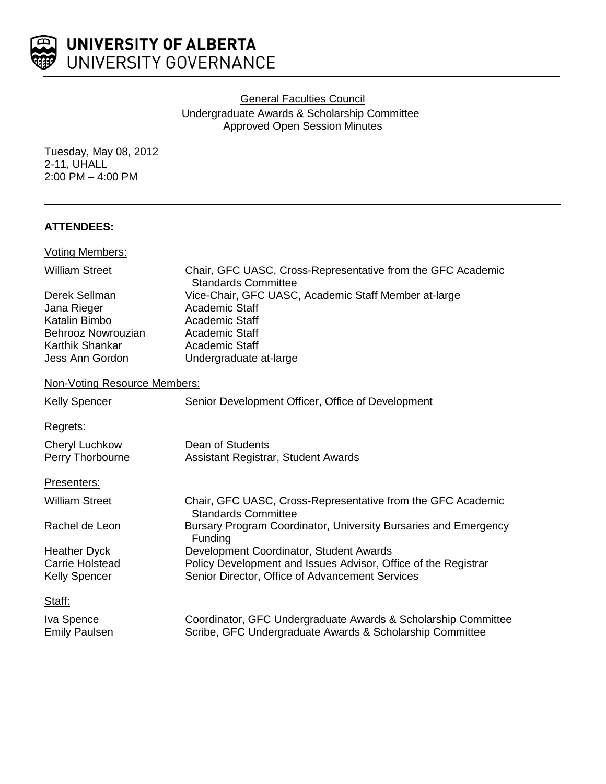

# General Faculties Council Undergraduate Awards & Scholarship Committee Approved Open Session Minutes

Tuesday, May 08, 2012 2-11, UHALL 2:00 PM – 4:00 PM

## **ATTENDEES:**

| <u>Voting Members:</u>       |                                                                                           |
|------------------------------|-------------------------------------------------------------------------------------------|
| <b>William Street</b>        | Chair, GFC UASC, Cross-Representative from the GFC Academic<br><b>Standards Committee</b> |
| Derek Sellman                | Vice-Chair, GFC UASC, Academic Staff Member at-large                                      |
| Jana Rieger                  | Academic Staff                                                                            |
| Katalin Bimbo                | <b>Academic Staff</b>                                                                     |
| <b>Behrooz Nowrouzian</b>    | <b>Academic Staff</b>                                                                     |
| Karthik Shankar              | Academic Staff                                                                            |
| Jess Ann Gordon              | Undergraduate at-large                                                                    |
| Non-Voting Resource Members: |                                                                                           |
| Kelly Spencer                | Senior Development Officer, Office of Development                                         |
| Regrets:                     |                                                                                           |
| Cheryl Luchkow               | Dean of Students                                                                          |
| Perry Thorbourne             | Assistant Registrar, Student Awards                                                       |
| Presenters:                  |                                                                                           |
| <b>William Street</b>        | Chair, GFC UASC, Cross-Representative from the GFC Academic<br><b>Standards Committee</b> |
| Rachel de Leon               | Bursary Program Coordinator, University Bursaries and Emergency<br>Funding                |
| <b>Heather Dyck</b>          | Development Coordinator, Student Awards                                                   |
| Carrie Holstead              | Policy Development and Issues Advisor, Office of the Registrar                            |
| Kelly Spencer                | Senior Director, Office of Advancement Services                                           |
| <u>Staff:</u>                |                                                                                           |
| Iva Spence                   | Coordinator, GFC Undergraduate Awards & Scholarship Committee                             |
| <b>Emily Paulsen</b>         | Scribe, GFC Undergraduate Awards & Scholarship Committee                                  |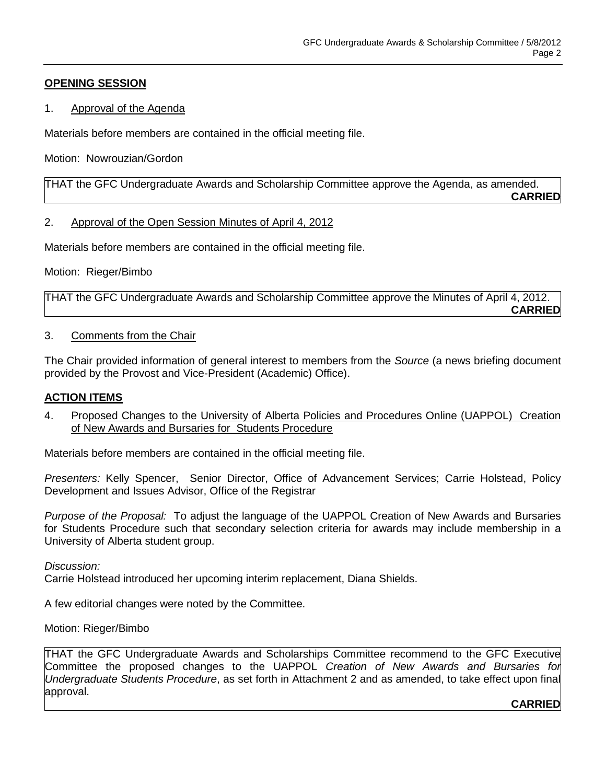## **OPENING SESSION**

### 1. Approval of the Agenda

Materials before members are contained in the official meeting file.

Motion: Nowrouzian/Gordon

THAT the GFC Undergraduate Awards and Scholarship Committee approve the Agenda, as amended. **CARRIED**

### 2. Approval of the Open Session Minutes of April 4, 2012

Materials before members are contained in the official meeting file.

Motion: Rieger/Bimbo

THAT the GFC Undergraduate Awards and Scholarship Committee approve the Minutes of April 4, 2012. **CARRIED**

### 3. Comments from the Chair

The Chair provided information of general interest to members from the *Source* (a news briefing document provided by the Provost and Vice-President (Academic) Office).

### **ACTION ITEMS**

4. Proposed Changes to the University of Alberta Policies and Procedures Online (UAPPOL) Creation of New Awards and Bursaries for Students Procedure

Materials before members are contained in the official meeting file.

*Presenters:* Kelly Spencer, Senior Director, Office of Advancement Services; Carrie Holstead, Policy Development and Issues Advisor, Office of the Registrar

*Purpose of the Proposal:* To adjust the language of the UAPPOL Creation of New Awards and Bursaries for Students Procedure such that secondary selection criteria for awards may include membership in a University of Alberta student group.

*Discussion:*

Carrie Holstead introduced her upcoming interim replacement, Diana Shields.

A few editorial changes were noted by the Committee.

Motion: Rieger/Bimbo

THAT the GFC Undergraduate Awards and Scholarships Committee recommend to the GFC Executive Committee the proposed changes to the UAPPOL *Creation of New Awards and Bursaries for Undergraduate Students Procedure*, as set forth in Attachment 2 and as amended, to take effect upon final approval.

**CARRIED**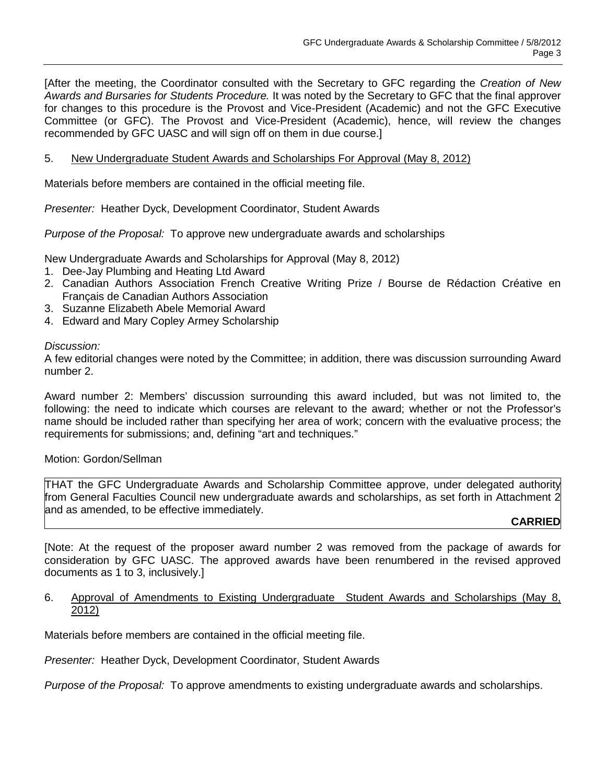[After the meeting, the Coordinator consulted with the Secretary to GFC regarding the *Creation of New Awards and Bursaries for Students Procedure.* It was noted by the Secretary to GFC that the final approver for changes to this procedure is the Provost and Vice-President (Academic) and not the GFC Executive Committee (or GFC). The Provost and Vice-President (Academic), hence, will review the changes recommended by GFC UASC and will sign off on them in due course.]

### 5. New Undergraduate Student Awards and Scholarships For Approval (May 8, 2012)

Materials before members are contained in the official meeting file.

*Presenter:* Heather Dyck, Development Coordinator, Student Awards

*Purpose of the Proposal:* To approve new undergraduate awards and scholarships

New Undergraduate Awards and Scholarships for Approval (May 8, 2012)

- 1. Dee-Jay Plumbing and Heating Ltd Award
- 2. Canadian Authors Association French Creative Writing Prize / Bourse de Rédaction Créative en Français de Canadian Authors Association
- 3. Suzanne Elizabeth Abele Memorial Award
- 4. Edward and Mary Copley Armey Scholarship

### *Discussion:*

A few editorial changes were noted by the Committee; in addition, there was discussion surrounding Award number 2.

Award number 2: Members' discussion surrounding this award included, but was not limited to, the following: the need to indicate which courses are relevant to the award; whether or not the Professor's name should be included rather than specifying her area of work; concern with the evaluative process; the requirements for submissions; and, defining "art and techniques."

### Motion: Gordon/Sellman

THAT the GFC Undergraduate Awards and Scholarship Committee approve, under delegated authority from General Faculties Council new undergraduate awards and scholarships, as set forth in Attachment 2 and as amended, to be effective immediately.

#### **CARRIED**

[Note: At the request of the proposer award number 2 was removed from the package of awards for consideration by GFC UASC. The approved awards have been renumbered in the revised approved documents as 1 to 3, inclusively.]

### 6. Approval of Amendments to Existing Undergraduate Student Awards and Scholarships (May 8, 2012)

Materials before members are contained in the official meeting file.

*Presenter:* Heather Dyck, Development Coordinator, Student Awards

*Purpose of the Proposal:* To approve amendments to existing undergraduate awards and scholarships.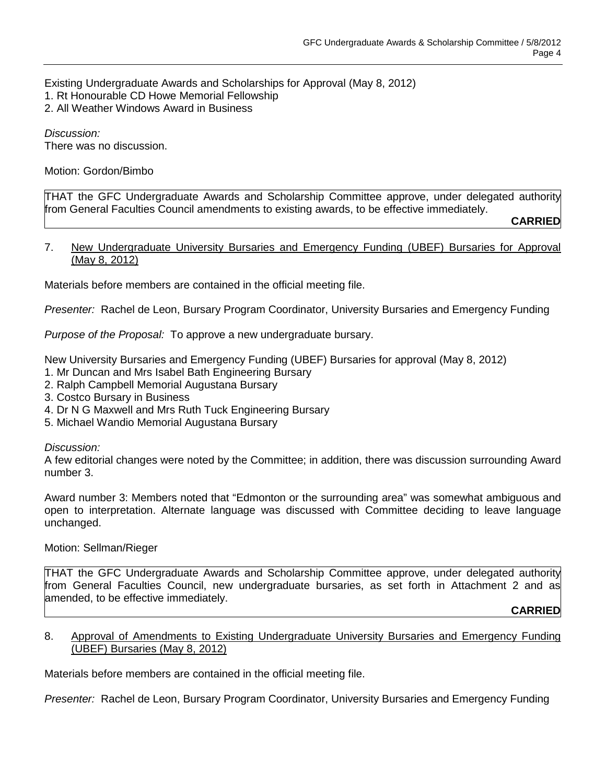Existing Undergraduate Awards and Scholarships for Approval (May 8, 2012)

- 1. Rt Honourable CD Howe Memorial Fellowship
- 2. All Weather Windows Award in Business

*Discussion:* There was no discussion.

Motion: Gordon/Bimbo

THAT the GFC Undergraduate Awards and Scholarship Committee approve, under delegated authority from General Faculties Council amendments to existing awards, to be effective immediately.

**CARRIED**

### 7. New Undergraduate University Bursaries and Emergency Funding (UBEF) Bursaries for Approval (May 8, 2012)

Materials before members are contained in the official meeting file.

*Presenter:* Rachel de Leon, Bursary Program Coordinator, University Bursaries and Emergency Funding

*Purpose of the Proposal:* To approve a new undergraduate bursary.

New University Bursaries and Emergency Funding (UBEF) Bursaries for approval (May 8, 2012)

- 1. Mr Duncan and Mrs Isabel Bath Engineering Bursary
- 2. Ralph Campbell Memorial Augustana Bursary
- 3. Costco Bursary in Business
- 4. Dr N G Maxwell and Mrs Ruth Tuck Engineering Bursary
- 5. Michael Wandio Memorial Augustana Bursary

### *Discussion:*

A few editorial changes were noted by the Committee; in addition, there was discussion surrounding Award number 3.

Award number 3: Members noted that "Edmonton or the surrounding area" was somewhat ambiguous and open to interpretation. Alternate language was discussed with Committee deciding to leave language unchanged.

### Motion: Sellman/Rieger

THAT the GFC Undergraduate Awards and Scholarship Committee approve, under delegated authority from General Faculties Council, new undergraduate bursaries, as set forth in Attachment 2 and as amended, to be effective immediately.

**CARRIED**

### 8. Approval of Amendments to Existing Undergraduate University Bursaries and Emergency Funding (UBEF) Bursaries (May 8, 2012)

Materials before members are contained in the official meeting file.

*Presenter:* Rachel de Leon, Bursary Program Coordinator, University Bursaries and Emergency Funding